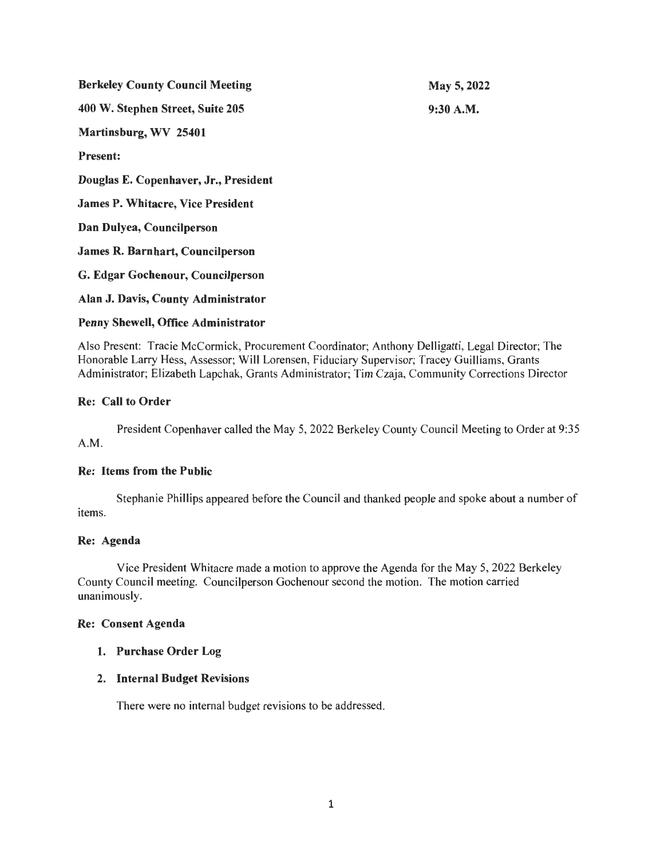| <b>Berkeley County Council Meeting</b>   | May 5, 2022 |
|------------------------------------------|-------------|
| 400 W. Stephen Street, Suite 205         | 9:30 A.M.   |
| Martinsburg, WV 25401                    |             |
| <b>Present:</b>                          |             |
| Douglas E. Copenhaver, Jr., President    |             |
| <b>James P. Whitacre, Vice President</b> |             |
| Dan Dulyea, Councilperson                |             |
| <b>James R. Barnhart, Councilperson</b>  |             |
| G. Edgar Gochenour, Councilperson        |             |
| Alan J. Davis, County Administrator      |             |
| Penny Shewell, Office Administrator      |             |

Also Present: Tracie McCormick, Procurement Coordinator; Anthony Delligatti, Legal Director; The Honorable Larry Hess, Assessor; Will Lorensen, Fiduciary Supervisor; Tracey Guilliams, Grants Administrator; Elizabeth Lapchak, Grants Administrator; Tim Czaja, Community Corrections Director

# Re: Call to Order

President Copenhaver called the May 5, 2022 Berkeley County Council Meeting to Order at 9:35 A.M.

#### Re: Items from the Public

Stephanie Phillips appeared before the Council and thanked people and spoke about a number of items.

#### Re: Agenda

Vice President Whitacre made a motion to approve the Agenda for the May 5, 2022 Berkeley County Council meeting. Councilperson Gochenour second the motion. The motion carried unanimously.

#### Re: Consent Agenda

## 1. Purchase Order Log

#### 2. Internal Budget Revisions

There were no internal budget revisions to be addressed.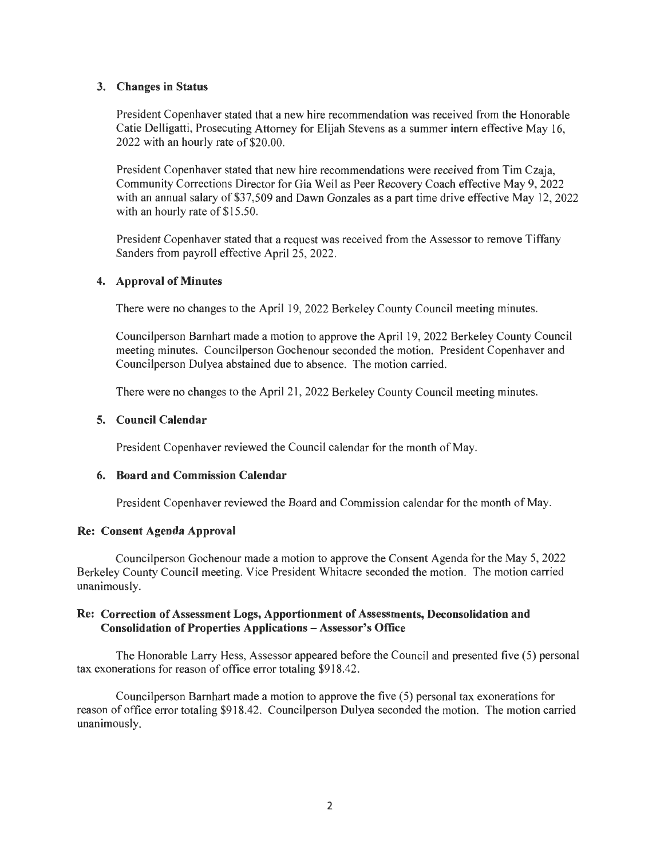## 3. Changes in Status

President Copenhaver stated that a new hire recommendation was received from the Honorable Catie Delligatti, Prosecuting Attorney for Elijah Stevens as a summer intern effective May 16, 2022 with an hourly rate of \$20.00.

President Copenhaver stated that new hire recommendations were received from Tim Czaja, Community Corrections Director for Gia Weil as Peer Recovery Coach effective May 9, 2022 with an annual salary of \$37,509 and Dawn Gonzales as a part time drive effective May 12, 2022 with an hourly rate of \$15.50.

President Copenhaver stated that a request was received from the Assessor to remove Tiffany Sanders from payroll effective April 25, 2022.

### 4. Approval of Minutes

There were no changes to the April 19, 2022 Berkeley County Council meeting minutes.

Councilperson Barnhart made a motion to approve the April 19, 2022 Berkeley County Council meeting minutes. Councilperson Gochenour seconded the motion. President Copenhaver and Councilperson Dulyea abstained due to absence. The motion carried.

There were no changes to the April 21, 2022 Berkeley County Council meeting minutes.

## 5. Council Calendar

President Copenhaver reviewed the Council calendar for the month of May.

## 6. Board and Commission Calendar

President Copenhaver reviewed the Board and Commission calendar for the month of May.

#### Re: Consent Agenda Approval

Councilperson Gochenour made a motion to approve the Consent Agenda for the May 5, 2022 Berkeley County Council meeting. Vice President Whitacre seconded the motion. The motion carried unanimously.

### Re: Correction of Assessment Logs, Apportionment of Assessments, Deconsolidation and Consolidation of Properties Applications - Assessor's Office

The Honorable Larry Hess, Assessor appeared before the Council and presented five (5) personal tax exonerations for reason of office error totaling \$918.42.

Councilperson Barnhart made a motion to approve the five (5) personal tax exonerations for reason of office error totaling \$918.42. Councilperson Dulyea seconded the motion. The motion carried unanimously.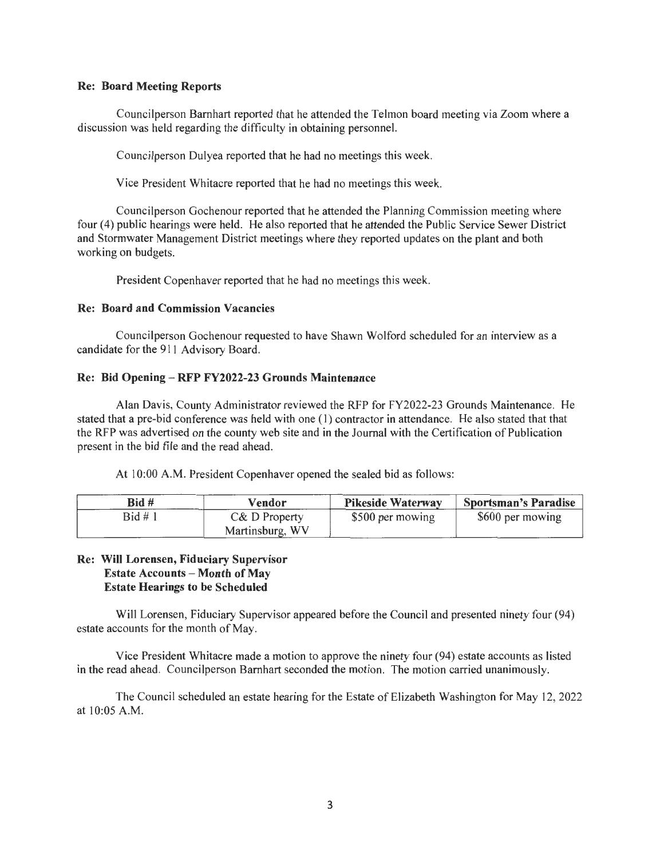### **Re: Board Meeting Reports**

Councilperson Barnhart reported that he attended the Telman board meeting via Zoom where a discussion was held regarding the difficulty in obtaining personnel.

Councilperson Dulyea reported that he had no meetings this week.

Vice President Whitacre reported that he had no meetings this week.

Councilperson Gochenour reported that he attended the Planning Commission meeting where four (4) public hearings were held. He also reported that he attended the Public Service Sewer District and Stormwater Management District meetings where they reported updates on the plant and both working on budgets.

President Copenhaver reported that he had no meetings this week.

### **Re: Board and Commission Vacancies**

Councilperson Gochenour requested to have Shawn Wolford scheduled for an interview as a candidate for the 911 Advisory Board.

### **Re: Bid Opening - RFP FY2022-23 Grounds Maintenance**

Alan Davis, County Administrator reviewed the RFP for FY2022-23 Grounds Maintenance. He stated that a pre-bid conference was held with one ( 1) contractor in attendance. He also stated that that the RFP was advertised on the county web site and in the Journal with the Certification of Publication present in the bid file and the read ahead.

At 10:00 A.M. President Copenhaver opened the sealed bid as follows:

| Bid #   | Vendor          | <b>Pikeside Waterway</b> | <b>Sportsman's Paradise</b> |
|---------|-----------------|--------------------------|-----------------------------|
| Bid # 1 | C& D Property   | \$500 per mowing         | \$600 per mowing            |
|         | Martinsburg, WV |                          |                             |

## **Re: Will Lorensen, Fiduciary Supervisor Estate Accounts - Month of May Estate Hearings to be Scheduled**

Will Lorensen, Fiduciary Supervisor appeared before the Council and presented ninety four (94) estate accounts for the month of May.

Vice President Whitacre made a motion to approve the ninety four (94) estate accounts as listed in the read ahead. Councilperson Barnhart seconded the motion. The motion carried unanimously.

The Council scheduled an estate hearing for the Estate of Elizabeth Washington for May 12, 2022 at 10:05 A.M.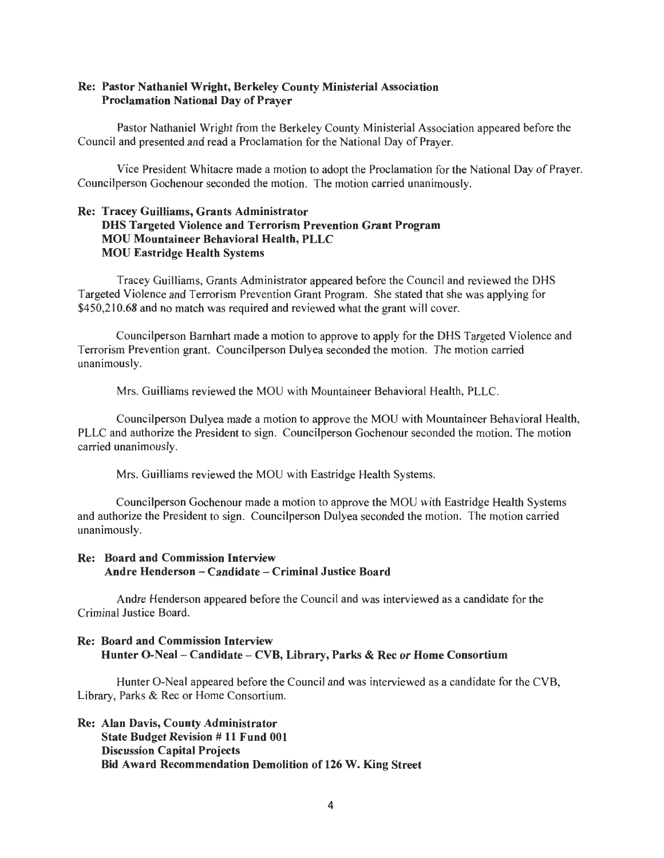### Re: Pastor Nathaniel Wright, Berkeley County Ministerial Association Proclamation National Day of Prayer

Pastor Nathaniel Wright from the Berkeley County Ministerial Association appeared before the Council and presented and read a Proclamation for the National Day of Prayer.

Vice President Whitacre made a motion to adopt the Proclamation for the National Day of Prayer. Councilperson Gochenour seconded the motion. The motion carried unanimously.

## Re: Tracey Guilliams, Grants Administrator DHS Targeted Violence and Terrorism Prevention Grant Program MOU Mountaineer Behavioral Health, PLLC MOU Eastridge Health Systems

Tracey Guilliams, Grants Administrator appeared before the Council and reviewed the DHS Targeted Violence and Terrorism Prevention Grant Program. She stated that she was applying for \$450,210.68 and no match was required and reviewed what the grant will cover.

Councilperson Barnhart made a motion to approve to apply for the OHS Targeted Violence and Terrorism Prevention grant. Councilperson Dulyea seconded the motion. The motion carried unanimously.

Mrs. Guilliams reviewed the MOU with Mountaineer Behavioral Health, PLLC.

Councilperson Dulyea made a motion to approve the MOU with Mountaineer Behavioral Health, PLLC and authorize the President to sign. Councilperson Gochenour seconded the motion. The motion carried unanimously.

Mrs. Guilliams reviewed the MOU with Eastridge Health Systems.

Councilperson Gochenour made a motion to approve the MOU with Eastridge Health Systems and authorize the President to sign. Councilperson Dulyea seconded the motion. The motion carried unanimously.

## Re: Board and Commission Interview Andre Henderson - Candidate - Criminal Justice Board

Andre Henderson appeared before the Council and was interviewed as a candidate for the Criminal Justice Board.

# Re: Board and Commission Interview Hunter 0-Neal - Candidate - CYB, Library, Parks & Rec or Home Consortium

Hunter 0-Neal appeared before the Council and was interviewed as a candidate for the CYB, Library, Parks & Rec or Home Consortium.

Re: Alan Davis, County Administrator State Budget Revision # 11 Fund 001 Discussion Capital Projects Bid Award Recommendation Demolition of 126 W. King Street